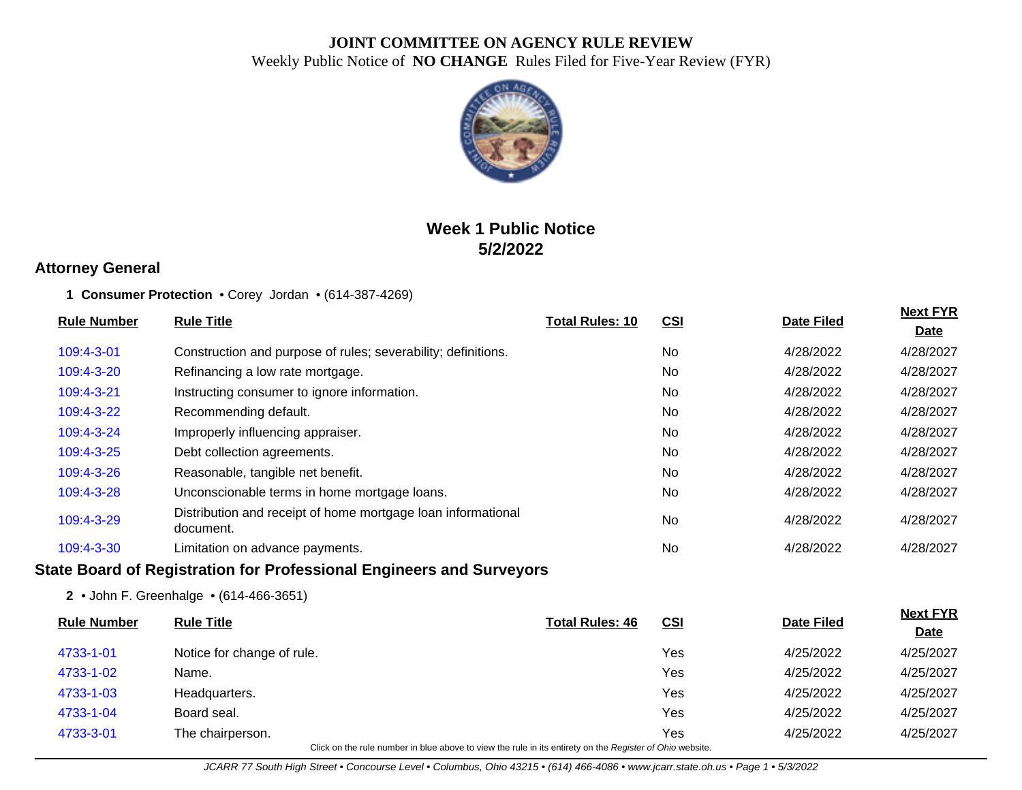

# **Week 1 Public Notice 5/2/2022**

### **Attorney General**

#### **1 Consumer Protection** • Corey Jordan • (614-387-4269)

| <b>Rule Number</b> | <b>Rule Title</b>                                                                                        | <b>Total Rules: 10</b> | <b>CSI</b> | <b>Date Filed</b> | <b>Next FYR</b>                |
|--------------------|----------------------------------------------------------------------------------------------------------|------------------------|------------|-------------------|--------------------------------|
|                    |                                                                                                          |                        |            |                   | <b>Date</b>                    |
| 109:4-3-01         | Construction and purpose of rules; severability; definitions.                                            |                        | No         | 4/28/2022         | 4/28/2027                      |
| 109:4-3-20         | Refinancing a low rate mortgage.                                                                         |                        | <b>No</b>  | 4/28/2022         | 4/28/2027                      |
| 109:4-3-21         | Instructing consumer to ignore information.                                                              |                        | <b>No</b>  | 4/28/2022         | 4/28/2027                      |
| 109:4-3-22         | Recommending default.                                                                                    |                        | <b>No</b>  | 4/28/2022         | 4/28/2027                      |
| 109:4-3-24         | Improperly influencing appraiser.                                                                        |                        | No         | 4/28/2022         | 4/28/2027                      |
| 109:4-3-25         | Debt collection agreements.                                                                              |                        | <b>No</b>  | 4/28/2022         | 4/28/2027                      |
| 109:4-3-26         | Reasonable, tangible net benefit.                                                                        |                        | No         | 4/28/2022         | 4/28/2027                      |
| 109:4-3-28         | Unconscionable terms in home mortgage loans.                                                             |                        | <b>No</b>  | 4/28/2022         | 4/28/2027                      |
| 109:4-3-29         | Distribution and receipt of home mortgage loan informational<br>document.                                |                        | <b>No</b>  | 4/28/2022         | 4/28/2027                      |
| 109:4-3-30         | Limitation on advance payments.                                                                          |                        | No         | 4/28/2022         | 4/28/2027                      |
|                    | <b>State Board of Registration for Professional Engineers and Surveyors</b>                              |                        |            |                   |                                |
|                    | 2 • John F. Greenhalge • (614-466-3651)                                                                  |                        |            |                   |                                |
| <b>Rule Number</b> | <b>Rule Title</b>                                                                                        | <b>Total Rules: 46</b> | <b>CSI</b> | <b>Date Filed</b> | <b>Next FYR</b><br><u>Date</u> |
| 4733-1-01          | Notice for change of rule.                                                                               |                        | Yes        | 4/25/2022         | 4/25/2027                      |
| 4733-1-02          | Name.                                                                                                    |                        | Yes        | 4/25/2022         | 4/25/2027                      |
| 4733-1-03          | Headquarters.                                                                                            |                        | Yes        | 4/25/2022         | 4/25/2027                      |
| 4733-1-04          | Board seal.                                                                                              |                        | Yes        | 4/25/2022         | 4/25/2027                      |
| 4733-3-01          | The chairperson.                                                                                         |                        | Yes        | 4/25/2022         | 4/25/2027                      |
|                    | Click on the rule number in blue above to view the rule in its entirety on the Register of Ohio website. |                        |            |                   |                                |

JCARR 77 South High Street • Concourse Level • Columbus, Ohio 43215 • (614) 466-4086 • www.jcarr.state.oh.us • Page 1 • 5/3/2022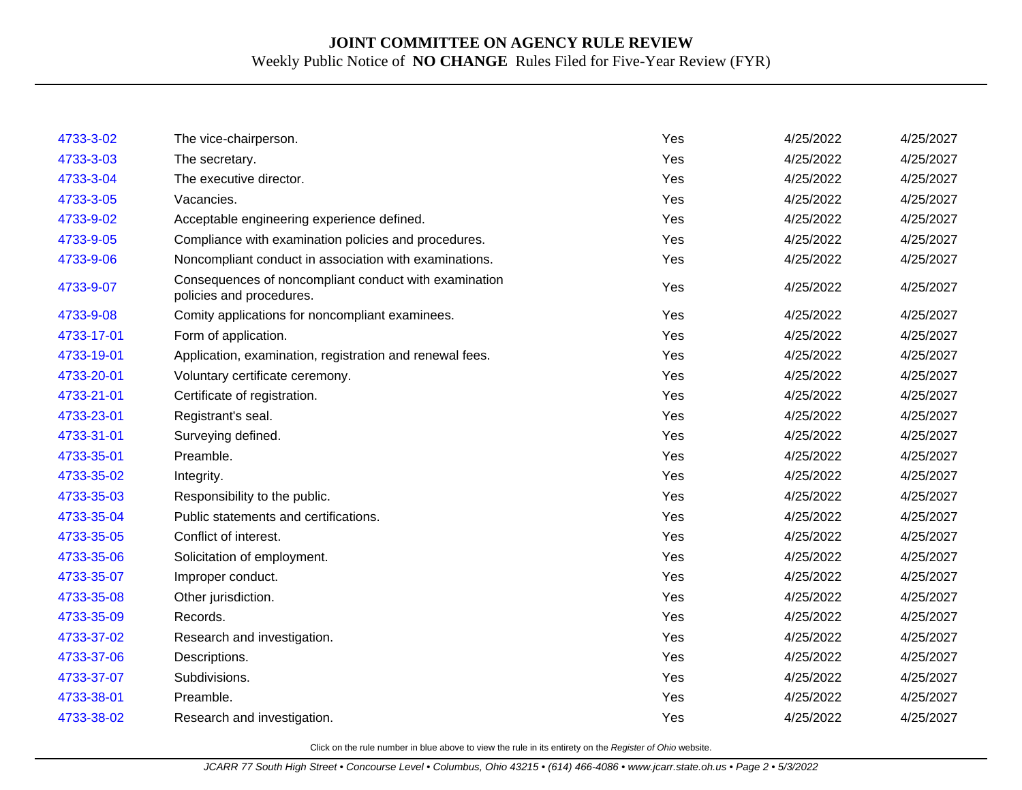| 4733-3-02  | The vice-chairperson.                                                             | Yes | 4/25/2022 | 4/25/2027 |
|------------|-----------------------------------------------------------------------------------|-----|-----------|-----------|
| 4733-3-03  | The secretary.                                                                    | Yes | 4/25/2022 | 4/25/2027 |
| 4733-3-04  | The executive director.                                                           | Yes | 4/25/2022 | 4/25/2027 |
| 4733-3-05  | Vacancies.                                                                        | Yes | 4/25/2022 | 4/25/2027 |
| 4733-9-02  | Acceptable engineering experience defined.                                        | Yes | 4/25/2022 | 4/25/2027 |
| 4733-9-05  | Compliance with examination policies and procedures.                              | Yes | 4/25/2022 | 4/25/2027 |
| 4733-9-06  | Noncompliant conduct in association with examinations.                            | Yes | 4/25/2022 | 4/25/2027 |
| 4733-9-07  | Consequences of noncompliant conduct with examination<br>policies and procedures. | Yes | 4/25/2022 | 4/25/2027 |
| 4733-9-08  | Comity applications for noncompliant examinees.                                   | Yes | 4/25/2022 | 4/25/2027 |
| 4733-17-01 | Form of application.                                                              | Yes | 4/25/2022 | 4/25/2027 |
| 4733-19-01 | Application, examination, registration and renewal fees.                          | Yes | 4/25/2022 | 4/25/2027 |
| 4733-20-01 | Voluntary certificate ceremony.                                                   | Yes | 4/25/2022 | 4/25/2027 |
| 4733-21-01 | Certificate of registration.                                                      | Yes | 4/25/2022 | 4/25/2027 |
| 4733-23-01 | Registrant's seal.                                                                | Yes | 4/25/2022 | 4/25/2027 |
| 4733-31-01 | Surveying defined.                                                                | Yes | 4/25/2022 | 4/25/2027 |
| 4733-35-01 | Preamble.                                                                         | Yes | 4/25/2022 | 4/25/2027 |
| 4733-35-02 | Integrity.                                                                        | Yes | 4/25/2022 | 4/25/2027 |
| 4733-35-03 | Responsibility to the public.                                                     | Yes | 4/25/2022 | 4/25/2027 |
| 4733-35-04 | Public statements and certifications.                                             | Yes | 4/25/2022 | 4/25/2027 |
| 4733-35-05 | Conflict of interest.                                                             | Yes | 4/25/2022 | 4/25/2027 |
| 4733-35-06 | Solicitation of employment.                                                       | Yes | 4/25/2022 | 4/25/2027 |
| 4733-35-07 | Improper conduct.                                                                 | Yes | 4/25/2022 | 4/25/2027 |
| 4733-35-08 | Other jurisdiction.                                                               | Yes | 4/25/2022 | 4/25/2027 |
| 4733-35-09 | Records.                                                                          | Yes | 4/25/2022 | 4/25/2027 |
| 4733-37-02 | Research and investigation.                                                       | Yes | 4/25/2022 | 4/25/2027 |
| 4733-37-06 | Descriptions.                                                                     | Yes | 4/25/2022 | 4/25/2027 |
| 4733-37-07 | Subdivisions.                                                                     | Yes | 4/25/2022 | 4/25/2027 |
| 4733-38-01 | Preamble.                                                                         | Yes | 4/25/2022 | 4/25/2027 |
| 4733-38-02 | Research and investigation.                                                       | Yes | 4/25/2022 | 4/25/2027 |
|            |                                                                                   |     |           |           |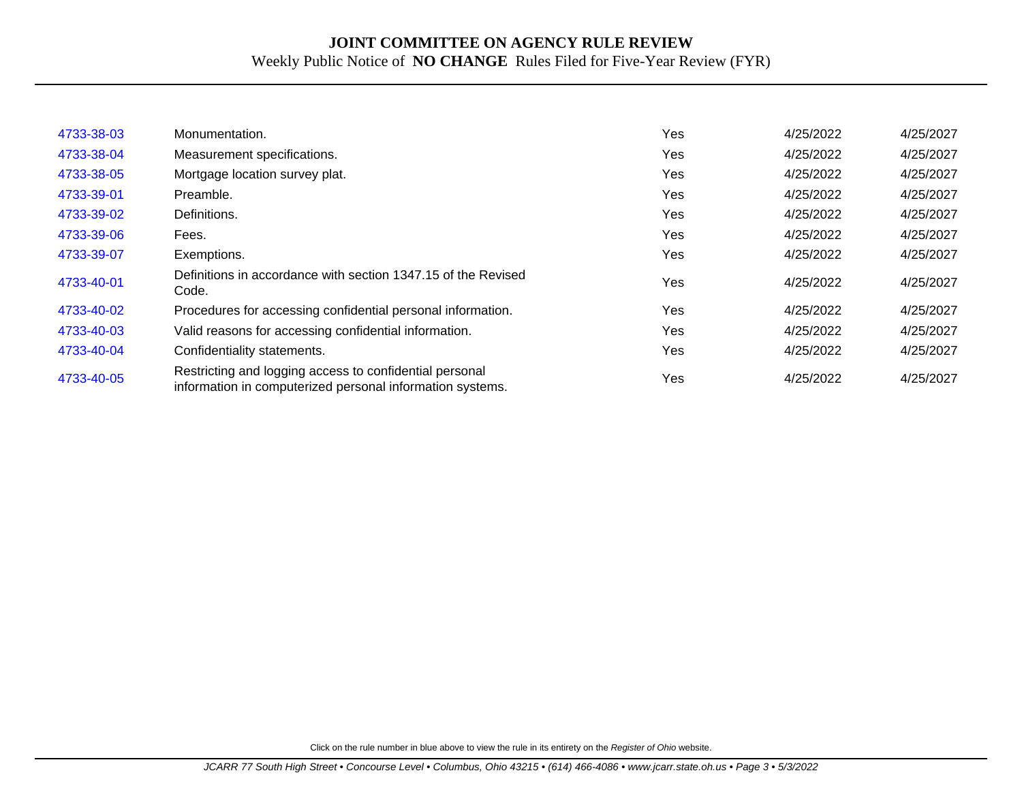| 4733-38-03 | Monumentation.                                                                                                       | Yes | 4/25/2022 | 4/25/2027 |
|------------|----------------------------------------------------------------------------------------------------------------------|-----|-----------|-----------|
| 4733-38-04 | Measurement specifications.                                                                                          | Yes | 4/25/2022 | 4/25/2027 |
| 4733-38-05 | Mortgage location survey plat.                                                                                       | Yes | 4/25/2022 | 4/25/2027 |
| 4733-39-01 | Preamble.                                                                                                            | Yes | 4/25/2022 | 4/25/2027 |
| 4733-39-02 | Definitions.                                                                                                         | Yes | 4/25/2022 | 4/25/2027 |
| 4733-39-06 | Fees.                                                                                                                | Yes | 4/25/2022 | 4/25/2027 |
| 4733-39-07 | Exemptions.                                                                                                          | Yes | 4/25/2022 | 4/25/2027 |
| 4733-40-01 | Definitions in accordance with section 1347.15 of the Revised<br>Code.                                               | Yes | 4/25/2022 | 4/25/2027 |
| 4733-40-02 | Procedures for accessing confidential personal information.                                                          | Yes | 4/25/2022 | 4/25/2027 |
| 4733-40-03 | Valid reasons for accessing confidential information.                                                                | Yes | 4/25/2022 | 4/25/2027 |
| 4733-40-04 | Confidentiality statements.                                                                                          | Yes | 4/25/2022 | 4/25/2027 |
| 4733-40-05 | Restricting and logging access to confidential personal<br>information in computerized personal information systems. | Yes | 4/25/2022 | 4/25/2027 |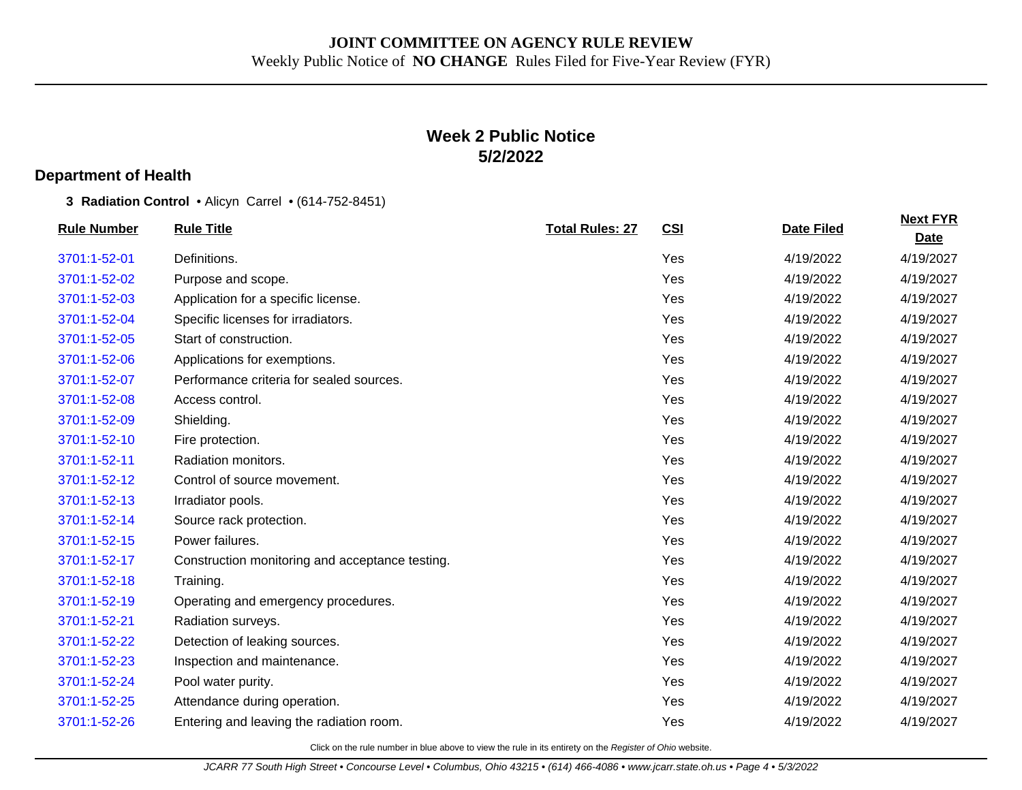# **Week 2 Public Notice 5/2/2022**

### **Department of Health**

**3 Radiation Control** • Alicyn Carrel • (614-752-8451)

| <b>Rule Number</b> | <b>Rule Title</b>                               | <b>Total Rules: 27</b> | CSI | <b>Date Filed</b> | <b>Next FYR</b><br><b>Date</b> |
|--------------------|-------------------------------------------------|------------------------|-----|-------------------|--------------------------------|
| 3701:1-52-01       | Definitions.                                    |                        | Yes | 4/19/2022         | 4/19/2027                      |
| 3701:1-52-02       | Purpose and scope.                              |                        | Yes | 4/19/2022         | 4/19/2027                      |
| 3701:1-52-03       | Application for a specific license.             |                        | Yes | 4/19/2022         | 4/19/2027                      |
| 3701:1-52-04       | Specific licenses for irradiators.              |                        | Yes | 4/19/2022         | 4/19/2027                      |
| 3701:1-52-05       | Start of construction.                          |                        | Yes | 4/19/2022         | 4/19/2027                      |
| 3701:1-52-06       | Applications for exemptions.                    |                        | Yes | 4/19/2022         | 4/19/2027                      |
| 3701:1-52-07       | Performance criteria for sealed sources.        |                        | Yes | 4/19/2022         | 4/19/2027                      |
| 3701:1-52-08       | Access control.                                 |                        | Yes | 4/19/2022         | 4/19/2027                      |
| 3701:1-52-09       | Shielding.                                      |                        | Yes | 4/19/2022         | 4/19/2027                      |
| 3701:1-52-10       | Fire protection.                                |                        | Yes | 4/19/2022         | 4/19/2027                      |
| 3701:1-52-11       | Radiation monitors.                             |                        | Yes | 4/19/2022         | 4/19/2027                      |
| 3701:1-52-12       | Control of source movement.                     |                        | Yes | 4/19/2022         | 4/19/2027                      |
| 3701:1-52-13       | Irradiator pools.                               |                        | Yes | 4/19/2022         | 4/19/2027                      |
| 3701:1-52-14       | Source rack protection.                         |                        | Yes | 4/19/2022         | 4/19/2027                      |
| 3701:1-52-15       | Power failures.                                 |                        | Yes | 4/19/2022         | 4/19/2027                      |
| 3701:1-52-17       | Construction monitoring and acceptance testing. |                        | Yes | 4/19/2022         | 4/19/2027                      |
| 3701:1-52-18       | Training.                                       |                        | Yes | 4/19/2022         | 4/19/2027                      |
| 3701:1-52-19       | Operating and emergency procedures.             |                        | Yes | 4/19/2022         | 4/19/2027                      |
| 3701:1-52-21       | Radiation surveys.                              |                        | Yes | 4/19/2022         | 4/19/2027                      |
| 3701:1-52-22       | Detection of leaking sources.                   |                        | Yes | 4/19/2022         | 4/19/2027                      |
| 3701:1-52-23       | Inspection and maintenance.                     |                        | Yes | 4/19/2022         | 4/19/2027                      |
| 3701:1-52-24       | Pool water purity.                              |                        | Yes | 4/19/2022         | 4/19/2027                      |
| 3701:1-52-25       | Attendance during operation.                    |                        | Yes | 4/19/2022         | 4/19/2027                      |
| 3701:1-52-26       | Entering and leaving the radiation room.        |                        | Yes | 4/19/2022         | 4/19/2027                      |
|                    |                                                 |                        |     |                   |                                |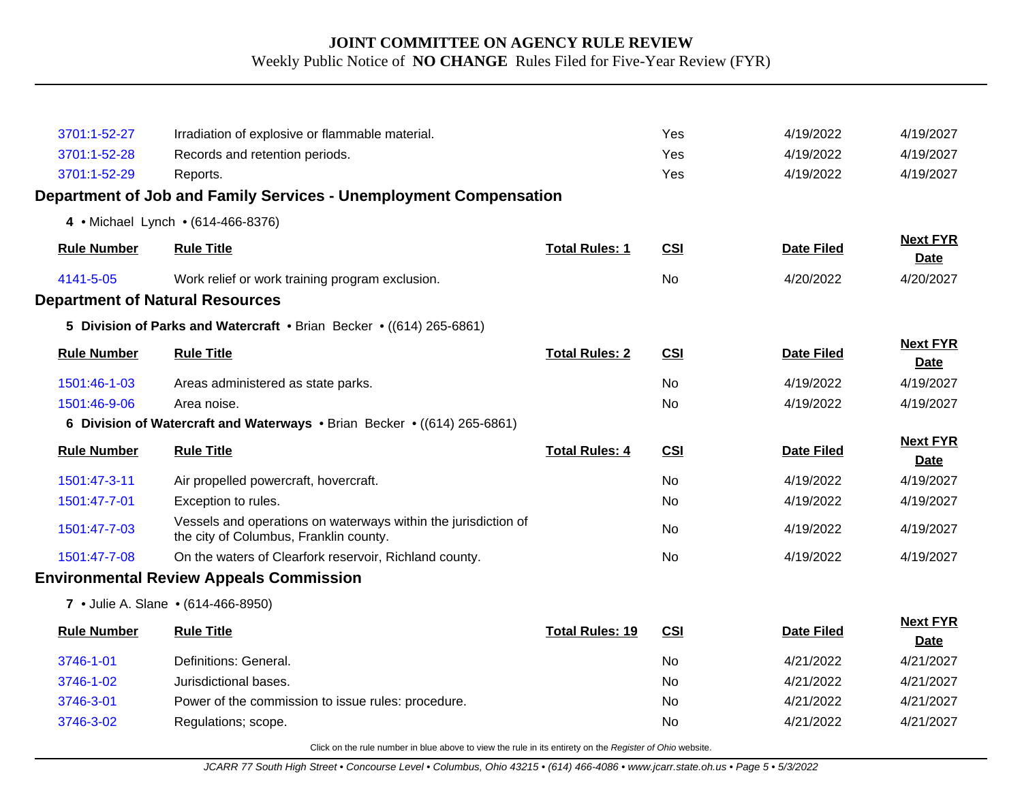| 3701:1-52-27                           | Irradiation of explosive or flammable material.                                                          |                        | Yes        | 4/19/2022         | 4/19/2027                      |
|----------------------------------------|----------------------------------------------------------------------------------------------------------|------------------------|------------|-------------------|--------------------------------|
| 3701:1-52-28                           | Records and retention periods.                                                                           |                        | Yes        | 4/19/2022         | 4/19/2027                      |
| 3701:1-52-29                           | Reports.                                                                                                 |                        | Yes        | 4/19/2022         | 4/19/2027                      |
|                                        | Department of Job and Family Services - Unemployment Compensation                                        |                        |            |                   |                                |
|                                        | 4 • Michael Lynch • (614-466-8376)                                                                       |                        |            |                   |                                |
| <b>Rule Number</b>                     | <b>Rule Title</b>                                                                                        | <b>Total Rules: 1</b>  | <b>CSI</b> | <b>Date Filed</b> | <b>Next FYR</b><br>Date        |
| 4141-5-05                              | Work relief or work training program exclusion.                                                          |                        | <b>No</b>  | 4/20/2022         | 4/20/2027                      |
| <b>Department of Natural Resources</b> |                                                                                                          |                        |            |                   |                                |
|                                        | 5 Division of Parks and Watercraft • Brian Becker • ((614) 265-6861)                                     |                        |            |                   |                                |
| <b>Rule Number</b>                     | <b>Rule Title</b>                                                                                        | <b>Total Rules: 2</b>  | <b>CSI</b> | <b>Date Filed</b> | <b>Next FYR</b><br><b>Date</b> |
| 1501:46-1-03                           | Areas administered as state parks.                                                                       |                        | <b>No</b>  | 4/19/2022         | 4/19/2027                      |
| 1501:46-9-06                           | Area noise.                                                                                              |                        | No         | 4/19/2022         | 4/19/2027                      |
|                                        | 6 Division of Watercraft and Waterways • Brian Becker • ((614) 265-6861)                                 |                        |            |                   |                                |
| <b>Rule Number</b>                     | <b>Rule Title</b>                                                                                        | <b>Total Rules: 4</b>  | <b>CSI</b> | <b>Date Filed</b> | <b>Next FYR</b><br>Date        |
| 1501:47-3-11                           | Air propelled powercraft, hovercraft.                                                                    |                        | No         | 4/19/2022         | 4/19/2027                      |
| 1501:47-7-01                           | Exception to rules.                                                                                      |                        | <b>No</b>  | 4/19/2022         | 4/19/2027                      |
| 1501:47-7-03                           | Vessels and operations on waterways within the jurisdiction of<br>the city of Columbus, Franklin county. |                        | <b>No</b>  | 4/19/2022         | 4/19/2027                      |
| 1501:47-7-08                           | On the waters of Clearfork reservoir, Richland county.                                                   |                        | <b>No</b>  | 4/19/2022         | 4/19/2027                      |
|                                        | <b>Environmental Review Appeals Commission</b>                                                           |                        |            |                   |                                |
|                                        | 7 • Julie A. Slane • (614-466-8950)                                                                      |                        |            |                   |                                |
| <b>Rule Number</b>                     | <b>Rule Title</b>                                                                                        | <b>Total Rules: 19</b> | <b>CSI</b> | <b>Date Filed</b> | <b>Next FYR</b><br>Date        |
| 3746-1-01                              | Definitions: General.                                                                                    |                        | No         | 4/21/2022         | 4/21/2027                      |
| 3746-1-02                              | Jurisdictional bases.                                                                                    |                        | No         | 4/21/2022         | 4/21/2027                      |
| 3746-3-01                              | Power of the commission to issue rules: procedure.                                                       |                        | No.        | 4/21/2022         | 4/21/2027                      |
| 3746-3-02                              | Regulations; scope.                                                                                      |                        | No         | 4/21/2022         | 4/21/2027                      |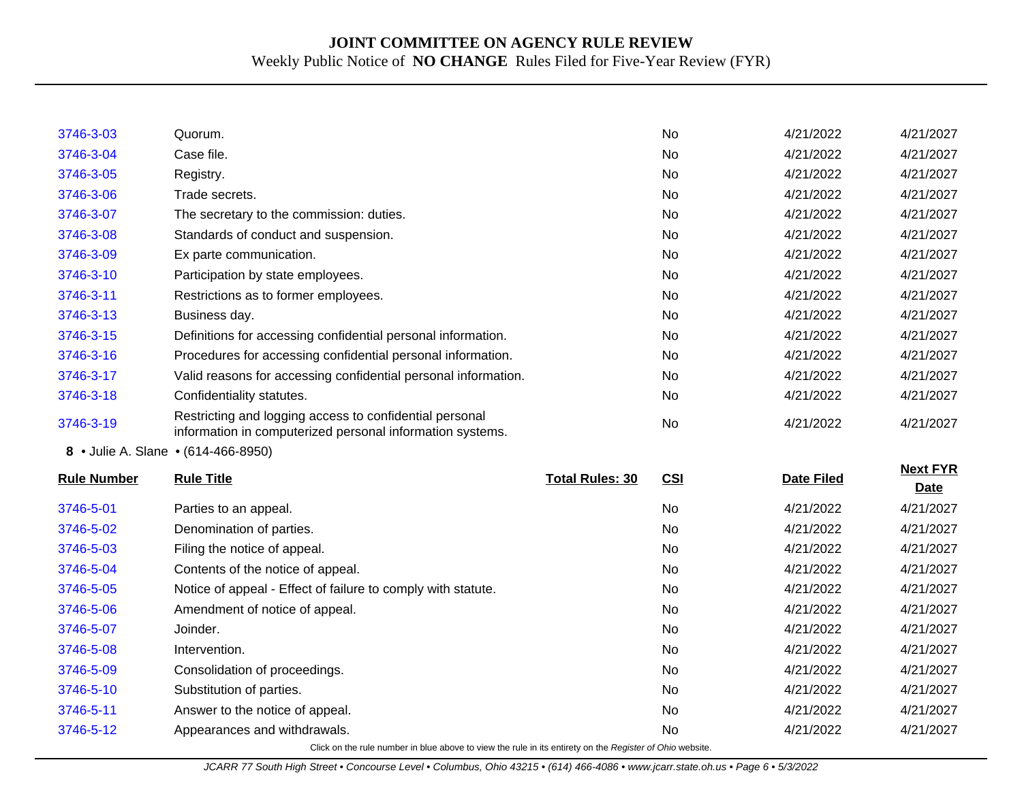| 3746-3-03          | Quorum.                                                                                                              |                        | No         | 4/21/2022         | 4/21/2027       |
|--------------------|----------------------------------------------------------------------------------------------------------------------|------------------------|------------|-------------------|-----------------|
| 3746-3-04          | Case file.                                                                                                           |                        | <b>No</b>  | 4/21/2022         | 4/21/2027       |
| 3746-3-05          | Registry.                                                                                                            |                        | No         | 4/21/2022         | 4/21/2027       |
| 3746-3-06          | Trade secrets.                                                                                                       |                        | No.        | 4/21/2022         | 4/21/2027       |
| 3746-3-07          | The secretary to the commission: duties.                                                                             |                        | No         | 4/21/2022         | 4/21/2027       |
| 3746-3-08          | Standards of conduct and suspension.                                                                                 |                        | No         | 4/21/2022         | 4/21/2027       |
| 3746-3-09          | Ex parte communication.                                                                                              |                        | No.        | 4/21/2022         | 4/21/2027       |
| 3746-3-10          | Participation by state employees.                                                                                    |                        | No         | 4/21/2022         | 4/21/2027       |
| 3746-3-11          | Restrictions as to former employees.                                                                                 |                        | No         | 4/21/2022         | 4/21/2027       |
| 3746-3-13          | Business day.                                                                                                        |                        | No.        | 4/21/2022         | 4/21/2027       |
| 3746-3-15          | Definitions for accessing confidential personal information.                                                         |                        | <b>No</b>  | 4/21/2022         | 4/21/2027       |
| 3746-3-16          | Procedures for accessing confidential personal information.                                                          |                        | No.        | 4/21/2022         | 4/21/2027       |
| 3746-3-17          | Valid reasons for accessing confidential personal information.                                                       |                        | No.        | 4/21/2022         | 4/21/2027       |
| 3746-3-18          | Confidentiality statutes.                                                                                            |                        | No         | 4/21/2022         | 4/21/2027       |
| 3746-3-19          | Restricting and logging access to confidential personal<br>information in computerized personal information systems. |                        | No         | 4/21/2022         | 4/21/2027       |
|                    | 8 • Julie A. Slane • (614-466-8950)                                                                                  |                        |            |                   |                 |
| <b>Rule Number</b> | <b>Rule Title</b>                                                                                                    | <b>Total Rules: 30</b> | <b>CSI</b> | <b>Date Filed</b> | <b>Next FYR</b> |
|                    |                                                                                                                      |                        |            |                   | <b>Date</b>     |
| 3746-5-01          | Parties to an appeal.                                                                                                |                        | No         | 4/21/2022         | 4/21/2027       |
| 3746-5-02          | Denomination of parties.                                                                                             |                        | No         | 4/21/2022         | 4/21/2027       |
| 3746-5-03          | Filing the notice of appeal.                                                                                         |                        | No         | 4/21/2022         | 4/21/2027       |
| 3746-5-04          | Contents of the notice of appeal.                                                                                    |                        | No.        | 4/21/2022         | 4/21/2027       |
| 3746-5-05          | Notice of appeal - Effect of failure to comply with statute.                                                         |                        | No.        | 4/21/2022         | 4/21/2027       |
| 3746-5-06          | Amendment of notice of appeal.                                                                                       |                        | No         | 4/21/2022         | 4/21/2027       |
| 3746-5-07          | Joinder.                                                                                                             |                        | No         | 4/21/2022         | 4/21/2027       |
| 3746-5-08          | Intervention.                                                                                                        |                        | No         | 4/21/2022         | 4/21/2027       |
| 3746-5-09          | Consolidation of proceedings.                                                                                        |                        | No         | 4/21/2022         | 4/21/2027       |
| 3746-5-10          | Substitution of parties.                                                                                             |                        | No         | 4/21/2022         | 4/21/2027       |
| 3746-5-11          | Answer to the notice of appeal.                                                                                      |                        | No         | 4/21/2022         | 4/21/2027       |
| 3746-5-12          | Appearances and withdrawals.                                                                                         |                        | <b>No</b>  | 4/21/2022         | 4/21/2027       |
|                    | Click on the rule number in blue above to view the rule in its entirety on the Register of Ohio website.             |                        |            |                   |                 |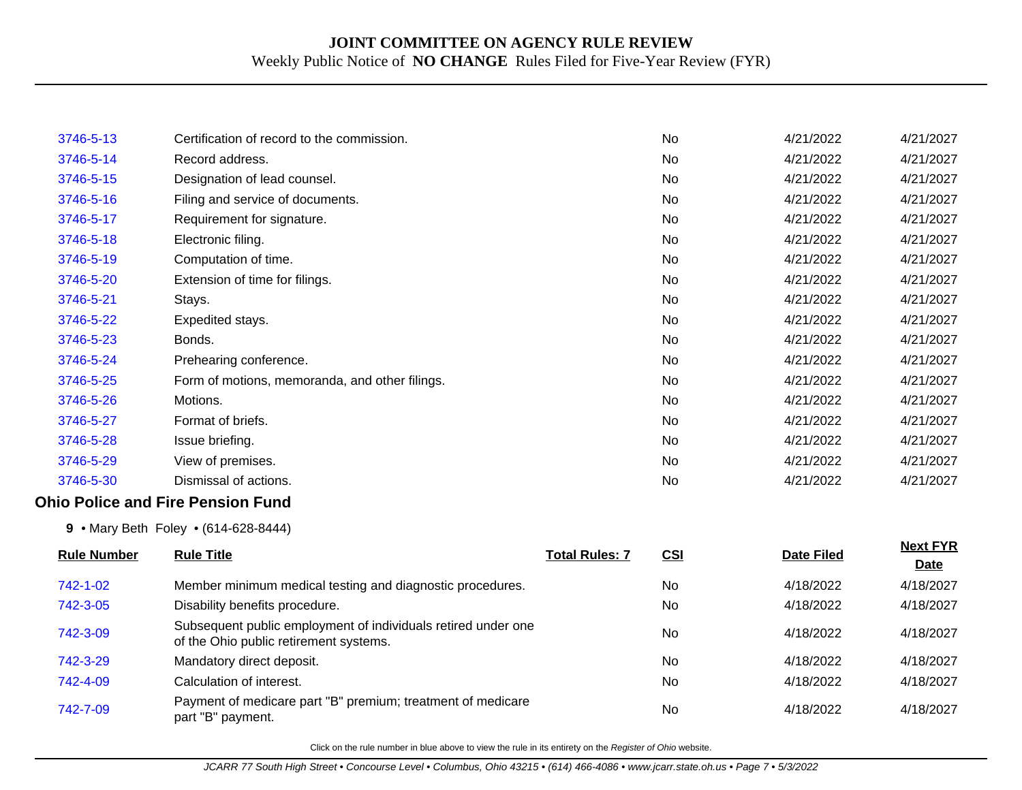| 3746-5-13          | Certification of record to the commission.                                                              |                       | No        | 4/21/2022         | 4/21/2027               |
|--------------------|---------------------------------------------------------------------------------------------------------|-----------------------|-----------|-------------------|-------------------------|
| 3746-5-14          | Record address.                                                                                         |                       | <b>No</b> | 4/21/2022         | 4/21/2027               |
| 3746-5-15          | Designation of lead counsel.                                                                            |                       | <b>No</b> | 4/21/2022         | 4/21/2027               |
| 3746-5-16          | Filing and service of documents.                                                                        |                       | No        | 4/21/2022         | 4/21/2027               |
| 3746-5-17          | Requirement for signature.                                                                              |                       | No        | 4/21/2022         | 4/21/2027               |
| 3746-5-18          | Electronic filing.                                                                                      |                       | No        | 4/21/2022         | 4/21/2027               |
| 3746-5-19          | Computation of time.                                                                                    |                       | <b>No</b> | 4/21/2022         | 4/21/2027               |
| 3746-5-20          | Extension of time for filings.                                                                          |                       | <b>No</b> | 4/21/2022         | 4/21/2027               |
| 3746-5-21          | Stays.                                                                                                  |                       | No        | 4/21/2022         | 4/21/2027               |
| 3746-5-22          | Expedited stays.                                                                                        |                       | No        | 4/21/2022         | 4/21/2027               |
| 3746-5-23          | Bonds.                                                                                                  |                       | <b>No</b> | 4/21/2022         | 4/21/2027               |
| 3746-5-24          | Prehearing conference.                                                                                  |                       | <b>No</b> | 4/21/2022         | 4/21/2027               |
| 3746-5-25          | Form of motions, memoranda, and other filings.                                                          |                       | No        | 4/21/2022         | 4/21/2027               |
| 3746-5-26          | Motions.                                                                                                |                       | No        | 4/21/2022         | 4/21/2027               |
| 3746-5-27          | Format of briefs.                                                                                       |                       | No        | 4/21/2022         | 4/21/2027               |
| 3746-5-28          | Issue briefing.                                                                                         |                       | No        | 4/21/2022         | 4/21/2027               |
| 3746-5-29          | View of premises.                                                                                       |                       | <b>No</b> | 4/21/2022         | 4/21/2027               |
| 3746-5-30          | Dismissal of actions.                                                                                   |                       | No        | 4/21/2022         | 4/21/2027               |
|                    | <b>Ohio Police and Fire Pension Fund</b>                                                                |                       |           |                   |                         |
|                    | 9 • Mary Beth Foley • (614-628-8444)                                                                    |                       |           |                   |                         |
| <b>Rule Number</b> | <b>Rule Title</b>                                                                                       | <b>Total Rules: 7</b> | CSI       | <b>Date Filed</b> | <b>Next FYR</b><br>Date |
| 742-1-02           | Member minimum medical testing and diagnostic procedures.                                               |                       | No        | 4/18/2022         | 4/18/2027               |
| 742-3-05           | Disability benefits procedure.                                                                          |                       | No        | 4/18/2022         | 4/18/2027               |
| 742-3-09           | Subsequent public employment of individuals retired under one<br>of the Ohio public retirement systems. |                       | No        | 4/18/2022         | 4/18/2027               |
| 742-3-29           | Mandatory direct deposit.                                                                               |                       | <b>No</b> | 4/18/2022         | 4/18/2027               |
| 742-4-09           | Calculation of interest.                                                                                |                       | No        | 4/18/2022         | 4/18/2027               |
| 742-7-09           | Payment of medicare part "B" premium; treatment of medicare<br>part "B" payment.                        |                       | <b>No</b> | 4/18/2022         | 4/18/2027               |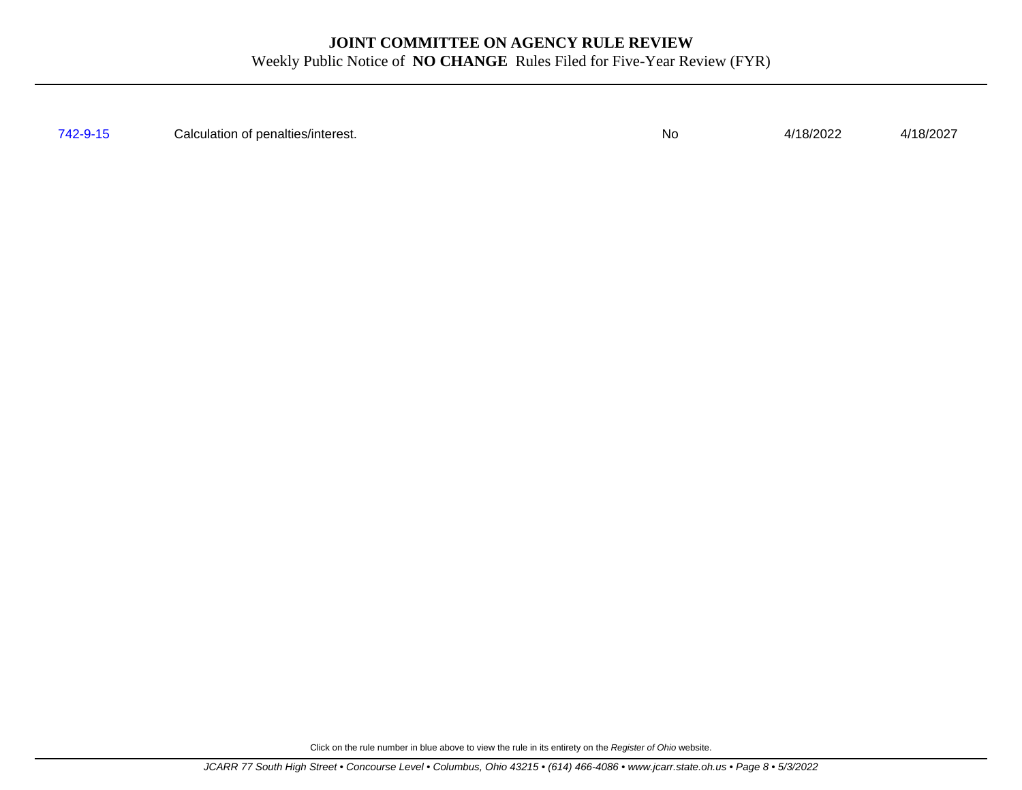[742-9-15](http://www.registerofohio.state.oh.us/jsps/publicdisplayrules/processPublicDisplayRules.jsp?entered_rule_no=742-9-15&doWhat=GETBYRULENUM&raID=0) Calculation of penalties/interest. No 4/18/2022 4/18/2027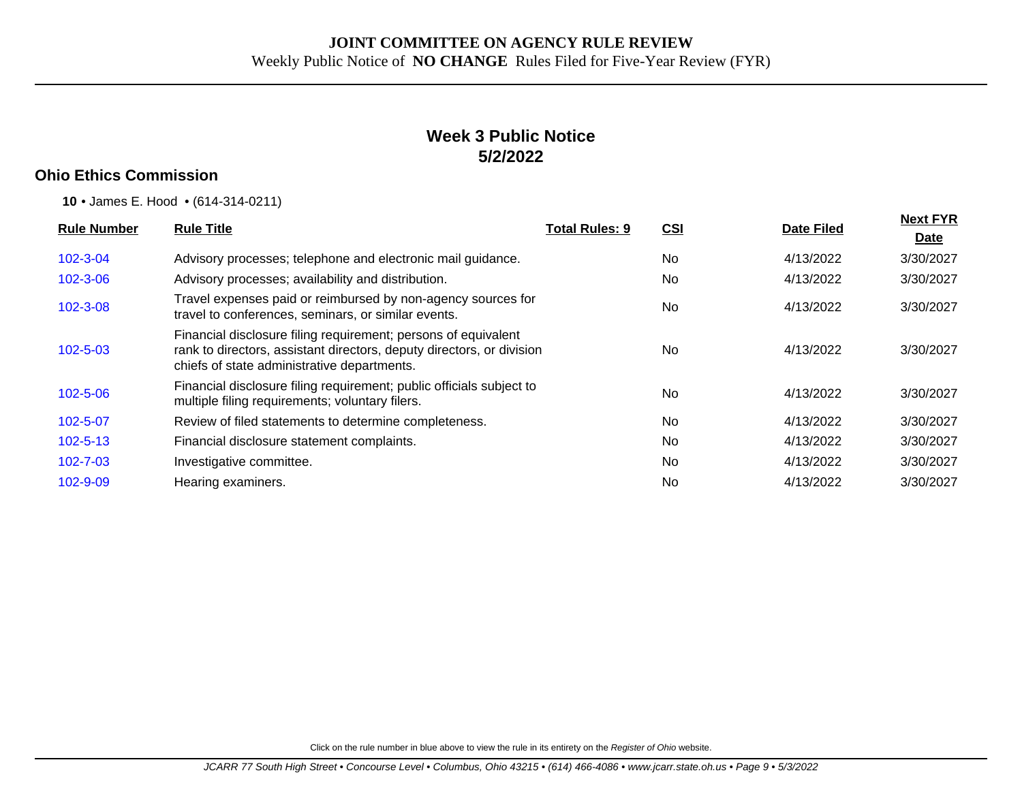## **Week 3 Public Notice 5/2/2022**

## **Ohio Ethics Commission**

**10** • James E. Hood • (614-314-0211)

| <b>Rule Number</b> | <b>Rule Title</b>                                                                                                                                                                      | <b>Total Rules: 9</b> | <u>CSI</u> | <b>Date Filed</b> | <b>Next FYR</b><br>Date |
|--------------------|----------------------------------------------------------------------------------------------------------------------------------------------------------------------------------------|-----------------------|------------|-------------------|-------------------------|
| $102 - 3 - 04$     | Advisory processes; telephone and electronic mail guidance.                                                                                                                            |                       | No.        | 4/13/2022         | 3/30/2027               |
| $102 - 3 - 06$     | Advisory processes; availability and distribution.                                                                                                                                     |                       | <b>No</b>  | 4/13/2022         | 3/30/2027               |
| $102 - 3 - 08$     | Travel expenses paid or reimbursed by non-agency sources for<br>travel to conferences, seminars, or similar events.                                                                    |                       | <b>No</b>  | 4/13/2022         | 3/30/2027               |
| $102 - 5 - 03$     | Financial disclosure filing requirement; persons of equivalent<br>rank to directors, assistant directors, deputy directors, or division<br>chiefs of state administrative departments. |                       | <b>No</b>  | 4/13/2022         | 3/30/2027               |
| $102 - 5 - 06$     | Financial disclosure filing requirement; public officials subject to<br>multiple filing requirements; voluntary filers.                                                                |                       | No         | 4/13/2022         | 3/30/2027               |
| 102-5-07           | Review of filed statements to determine completeness.                                                                                                                                  |                       | <b>No</b>  | 4/13/2022         | 3/30/2027               |
| $102 - 5 - 13$     | Financial disclosure statement complaints.                                                                                                                                             |                       | <b>No</b>  | 4/13/2022         | 3/30/2027               |
| $102 - 7 - 03$     | Investigative committee.                                                                                                                                                               |                       | <b>No</b>  | 4/13/2022         | 3/30/2027               |
| 102-9-09           | Hearing examiners.                                                                                                                                                                     |                       | <b>No</b>  | 4/13/2022         | 3/30/2027               |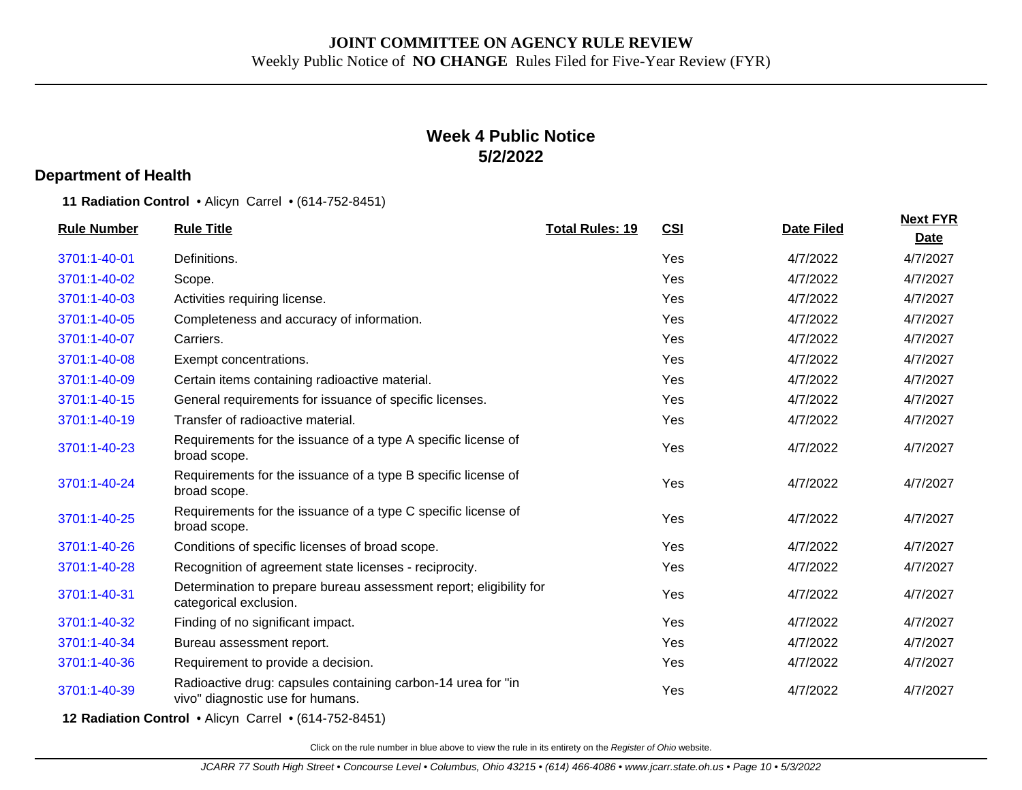## **Week 4 Public Notice 5/2/2022**

#### **Department of Health**

**11 Radiation Control** • Alicyn Carrel • (614-752-8451)

| <b>Rule Number</b> | <b>Rule Title</b>                                                                                | <b>Total Rules: 19</b> | <b>CSI</b> | <b>Date Filed</b> | <b>Next FYR</b><br><b>Date</b> |
|--------------------|--------------------------------------------------------------------------------------------------|------------------------|------------|-------------------|--------------------------------|
| 3701:1-40-01       | Definitions.                                                                                     |                        | Yes        | 4/7/2022          | 4/7/2027                       |
| 3701:1-40-02       | Scope.                                                                                           |                        | Yes        | 4/7/2022          | 4/7/2027                       |
| 3701:1-40-03       | Activities requiring license.                                                                    |                        | Yes        | 4/7/2022          | 4/7/2027                       |
| 3701:1-40-05       | Completeness and accuracy of information.                                                        |                        | Yes        | 4/7/2022          | 4/7/2027                       |
| 3701:1-40-07       | Carriers.                                                                                        |                        | Yes        | 4/7/2022          | 4/7/2027                       |
| 3701:1-40-08       | Exempt concentrations.                                                                           |                        | Yes        | 4/7/2022          | 4/7/2027                       |
| 3701:1-40-09       | Certain items containing radioactive material.                                                   |                        | Yes        | 4/7/2022          | 4/7/2027                       |
| 3701:1-40-15       | General requirements for issuance of specific licenses.                                          |                        | Yes        | 4/7/2022          | 4/7/2027                       |
| 3701:1-40-19       | Transfer of radioactive material.                                                                |                        | Yes        | 4/7/2022          | 4/7/2027                       |
| 3701:1-40-23       | Requirements for the issuance of a type A specific license of<br>broad scope.                    |                        | Yes        | 4/7/2022          | 4/7/2027                       |
| 3701:1-40-24       | Requirements for the issuance of a type B specific license of<br>broad scope.                    |                        | Yes        | 4/7/2022          | 4/7/2027                       |
| 3701:1-40-25       | Requirements for the issuance of a type C specific license of<br>broad scope.                    |                        | Yes        | 4/7/2022          | 4/7/2027                       |
| 3701:1-40-26       | Conditions of specific licenses of broad scope.                                                  |                        | Yes        | 4/7/2022          | 4/7/2027                       |
| 3701:1-40-28       | Recognition of agreement state licenses - reciprocity.                                           |                        | Yes        | 4/7/2022          | 4/7/2027                       |
| 3701:1-40-31       | Determination to prepare bureau assessment report; eligibility for<br>categorical exclusion.     |                        | Yes        | 4/7/2022          | 4/7/2027                       |
| 3701:1-40-32       | Finding of no significant impact.                                                                |                        | Yes        | 4/7/2022          | 4/7/2027                       |
| 3701:1-40-34       | Bureau assessment report.                                                                        |                        | Yes        | 4/7/2022          | 4/7/2027                       |
| 3701:1-40-36       | Requirement to provide a decision.                                                               |                        | Yes        | 4/7/2022          | 4/7/2027                       |
| 3701:1-40-39       | Radioactive drug: capsules containing carbon-14 urea for "in<br>vivo" diagnostic use for humans. |                        | Yes        | 4/7/2022          | 4/7/2027                       |

**12 Radiation Control** • Alicyn Carrel • (614-752-8451)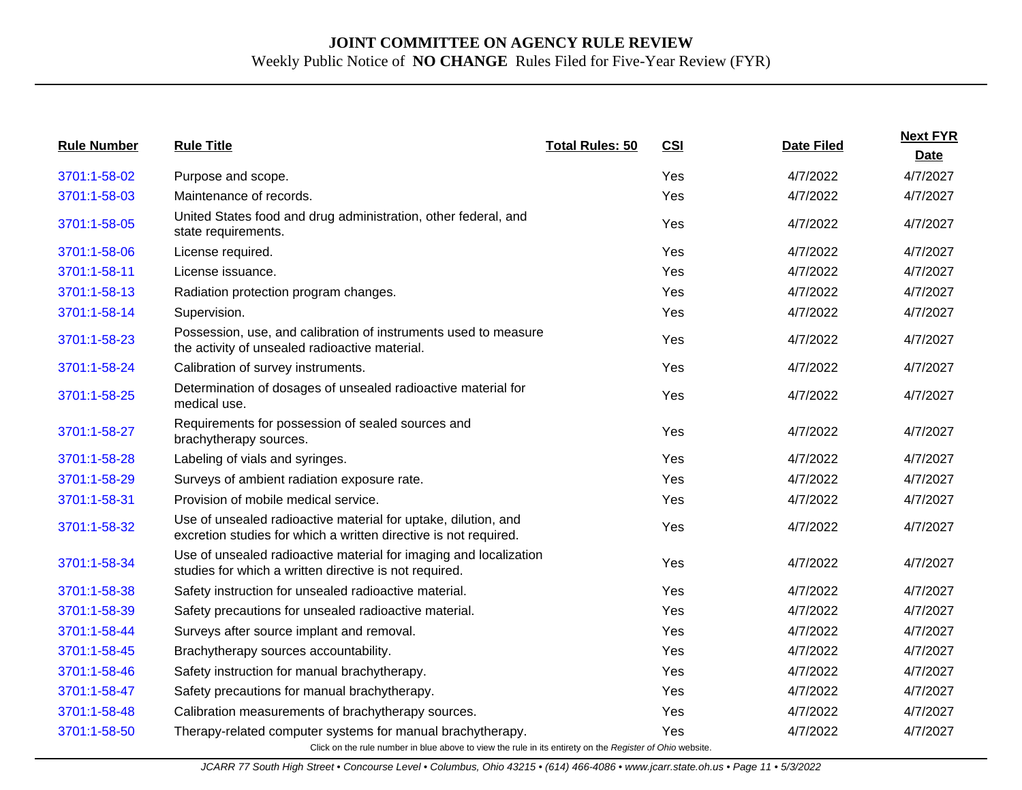| <b>Rule Number</b> | <b>Rule Title</b>                                                                                                                                                      | <b>Total Rules: 50</b> | <b>CSI</b> | <b>Date Filed</b> | <b>Next FYR</b><br><b>Date</b> |
|--------------------|------------------------------------------------------------------------------------------------------------------------------------------------------------------------|------------------------|------------|-------------------|--------------------------------|
| 3701:1-58-02       | Purpose and scope.                                                                                                                                                     |                        | Yes        | 4/7/2022          | 4/7/2027                       |
| 3701:1-58-03       | Maintenance of records.                                                                                                                                                |                        | Yes        | 4/7/2022          | 4/7/2027                       |
| 3701:1-58-05       | United States food and drug administration, other federal, and<br>state requirements.                                                                                  |                        | Yes        | 4/7/2022          | 4/7/2027                       |
| 3701:1-58-06       | License required.                                                                                                                                                      |                        | Yes        | 4/7/2022          | 4/7/2027                       |
| 3701:1-58-11       | License issuance.                                                                                                                                                      |                        | Yes        | 4/7/2022          | 4/7/2027                       |
| 3701:1-58-13       | Radiation protection program changes.                                                                                                                                  |                        | Yes        | 4/7/2022          | 4/7/2027                       |
| 3701:1-58-14       | Supervision.                                                                                                                                                           |                        | Yes        | 4/7/2022          | 4/7/2027                       |
| 3701:1-58-23       | Possession, use, and calibration of instruments used to measure<br>the activity of unsealed radioactive material.                                                      |                        | Yes        | 4/7/2022          | 4/7/2027                       |
| 3701:1-58-24       | Calibration of survey instruments.                                                                                                                                     |                        | Yes        | 4/7/2022          | 4/7/2027                       |
| 3701:1-58-25       | Determination of dosages of unsealed radioactive material for<br>medical use.                                                                                          |                        | Yes        | 4/7/2022          | 4/7/2027                       |
| 3701:1-58-27       | Requirements for possession of sealed sources and<br>brachytherapy sources.                                                                                            |                        | Yes        | 4/7/2022          | 4/7/2027                       |
| 3701:1-58-28       | Labeling of vials and syringes.                                                                                                                                        |                        | Yes        | 4/7/2022          | 4/7/2027                       |
| 3701:1-58-29       | Surveys of ambient radiation exposure rate.                                                                                                                            |                        | Yes        | 4/7/2022          | 4/7/2027                       |
| 3701:1-58-31       | Provision of mobile medical service.                                                                                                                                   |                        | Yes        | 4/7/2022          | 4/7/2027                       |
| 3701:1-58-32       | Use of unsealed radioactive material for uptake, dilution, and<br>excretion studies for which a written directive is not required.                                     |                        | Yes        | 4/7/2022          | 4/7/2027                       |
| 3701:1-58-34       | Use of unsealed radioactive material for imaging and localization<br>studies for which a written directive is not required.                                            |                        | Yes        | 4/7/2022          | 4/7/2027                       |
| 3701:1-58-38       | Safety instruction for unsealed radioactive material.                                                                                                                  |                        | Yes        | 4/7/2022          | 4/7/2027                       |
| 3701:1-58-39       | Safety precautions for unsealed radioactive material.                                                                                                                  |                        | Yes        | 4/7/2022          | 4/7/2027                       |
| 3701:1-58-44       | Surveys after source implant and removal.                                                                                                                              |                        | Yes        | 4/7/2022          | 4/7/2027                       |
| 3701:1-58-45       | Brachytherapy sources accountability.                                                                                                                                  |                        | Yes        | 4/7/2022          | 4/7/2027                       |
| 3701:1-58-46       | Safety instruction for manual brachytherapy.                                                                                                                           |                        | Yes        | 4/7/2022          | 4/7/2027                       |
| 3701:1-58-47       | Safety precautions for manual brachytherapy.                                                                                                                           |                        | Yes        | 4/7/2022          | 4/7/2027                       |
| 3701:1-58-48       | Calibration measurements of brachytherapy sources.                                                                                                                     |                        | Yes        | 4/7/2022          | 4/7/2027                       |
| 3701:1-58-50       | Therapy-related computer systems for manual brachytherapy.<br>Click on the rule number in blue above to view the rule in its entirety on the Register of Ohio website. |                        | Yes        | 4/7/2022          | 4/7/2027                       |

JCARR 77 South High Street • Concourse Level • Columbus, Ohio 43215 • (614) 466-4086 • www.jcarr.state.oh.us • Page 11 • 5/3/2022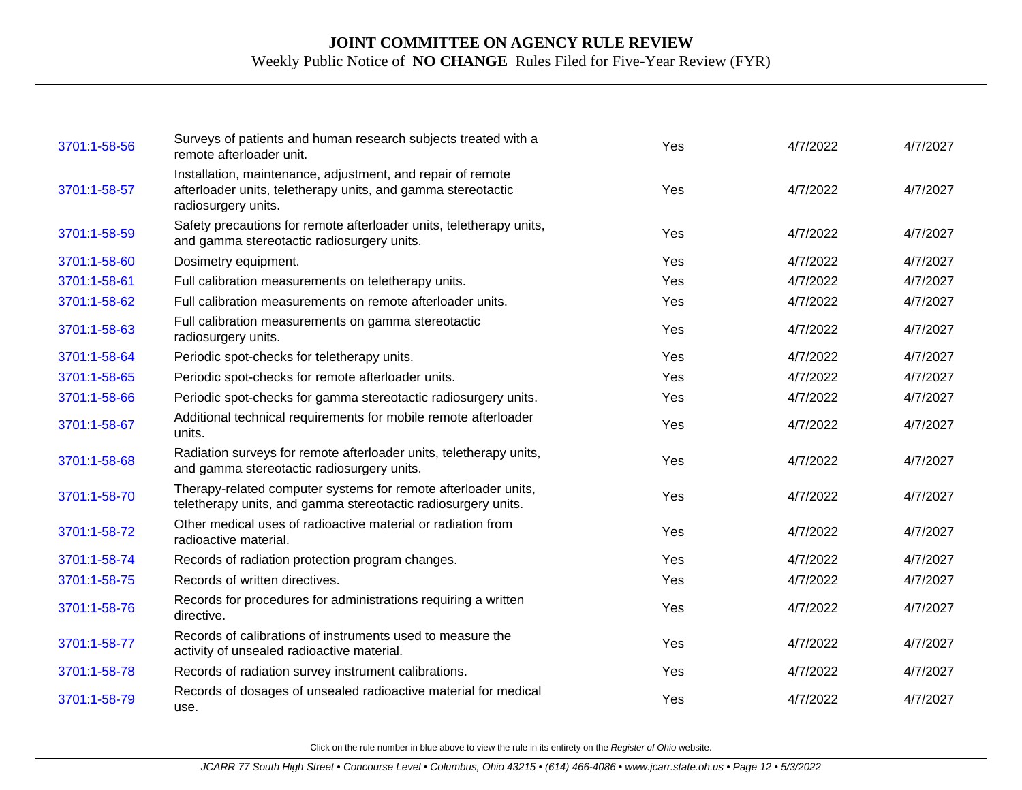| 3701:1-58-56 | Surveys of patients and human research subjects treated with a<br>remote afterloader unit.                                                         | Yes | 4/7/2022 | 4/7/2027 |
|--------------|----------------------------------------------------------------------------------------------------------------------------------------------------|-----|----------|----------|
| 3701:1-58-57 | Installation, maintenance, adjustment, and repair of remote<br>afterloader units, teletherapy units, and gamma stereotactic<br>radiosurgery units. | Yes | 4/7/2022 | 4/7/2027 |
| 3701:1-58-59 | Safety precautions for remote afterloader units, teletherapy units,<br>and gamma stereotactic radiosurgery units.                                  | Yes | 4/7/2022 | 4/7/2027 |
| 3701:1-58-60 | Dosimetry equipment.                                                                                                                               | Yes | 4/7/2022 | 4/7/2027 |
| 3701:1-58-61 | Full calibration measurements on teletherapy units.                                                                                                | Yes | 4/7/2022 | 4/7/2027 |
| 3701:1-58-62 | Full calibration measurements on remote afterloader units.                                                                                         | Yes | 4/7/2022 | 4/7/2027 |
| 3701:1-58-63 | Full calibration measurements on gamma stereotactic<br>radiosurgery units.                                                                         | Yes | 4/7/2022 | 4/7/2027 |
| 3701:1-58-64 | Periodic spot-checks for teletherapy units.                                                                                                        | Yes | 4/7/2022 | 4/7/2027 |
| 3701:1-58-65 | Periodic spot-checks for remote afterloader units.                                                                                                 | Yes | 4/7/2022 | 4/7/2027 |
| 3701:1-58-66 | Periodic spot-checks for gamma stereotactic radiosurgery units.                                                                                    | Yes | 4/7/2022 | 4/7/2027 |
| 3701:1-58-67 | Additional technical requirements for mobile remote afterloader<br>units.                                                                          | Yes | 4/7/2022 | 4/7/2027 |
| 3701:1-58-68 | Radiation surveys for remote afterloader units, teletherapy units,<br>and gamma stereotactic radiosurgery units.                                   | Yes | 4/7/2022 | 4/7/2027 |
| 3701:1-58-70 | Therapy-related computer systems for remote afterloader units,<br>teletherapy units, and gamma stereotactic radiosurgery units.                    | Yes | 4/7/2022 | 4/7/2027 |
| 3701:1-58-72 | Other medical uses of radioactive material or radiation from<br>radioactive material.                                                              | Yes | 4/7/2022 | 4/7/2027 |
| 3701:1-58-74 | Records of radiation protection program changes.                                                                                                   | Yes | 4/7/2022 | 4/7/2027 |
| 3701:1-58-75 | Records of written directives.                                                                                                                     | Yes | 4/7/2022 | 4/7/2027 |
| 3701:1-58-76 | Records for procedures for administrations requiring a written<br>directive.                                                                       | Yes | 4/7/2022 | 4/7/2027 |
| 3701:1-58-77 | Records of calibrations of instruments used to measure the<br>activity of unsealed radioactive material.                                           | Yes | 4/7/2022 | 4/7/2027 |
| 3701:1-58-78 | Records of radiation survey instrument calibrations.                                                                                               | Yes | 4/7/2022 | 4/7/2027 |
| 3701:1-58-79 | Records of dosages of unsealed radioactive material for medical<br>use.                                                                            | Yes | 4/7/2022 | 4/7/2027 |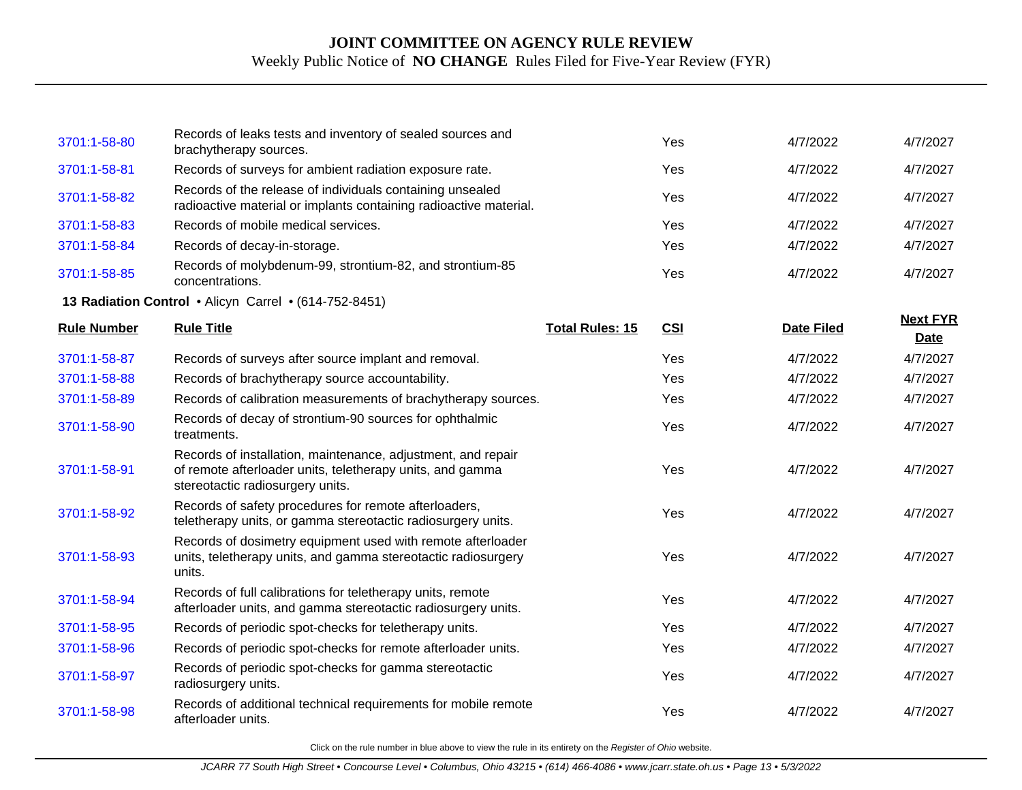| 3701:1-58-80       | Records of leaks tests and inventory of sealed sources and<br>brachytherapy sources.                                                                          |                        | Yes        | 4/7/2022          | 4/7/2027                |
|--------------------|---------------------------------------------------------------------------------------------------------------------------------------------------------------|------------------------|------------|-------------------|-------------------------|
| 3701:1-58-81       | Records of surveys for ambient radiation exposure rate.                                                                                                       |                        | Yes        | 4/7/2022          | 4/7/2027                |
| 3701:1-58-82       | Records of the release of individuals containing unsealed<br>radioactive material or implants containing radioactive material.                                |                        | Yes        | 4/7/2022          | 4/7/2027                |
| 3701:1-58-83       | Records of mobile medical services.                                                                                                                           |                        | Yes        | 4/7/2022          | 4/7/2027                |
| 3701:1-58-84       | Records of decay-in-storage.                                                                                                                                  |                        | Yes        | 4/7/2022          | 4/7/2027                |
| 3701:1-58-85       | Records of molybdenum-99, strontium-82, and strontium-85<br>concentrations.                                                                                   |                        | Yes        | 4/7/2022          | 4/7/2027                |
|                    | 13 Radiation Control • Alicyn Carrel • (614-752-8451)                                                                                                         |                        |            |                   |                         |
| <b>Rule Number</b> | <b>Rule Title</b>                                                                                                                                             | <b>Total Rules: 15</b> | <b>CSI</b> | <b>Date Filed</b> | <b>Next FYR</b><br>Date |
| 3701:1-58-87       | Records of surveys after source implant and removal.                                                                                                          |                        | Yes        | 4/7/2022          | 4/7/2027                |
| 3701:1-58-88       | Records of brachytherapy source accountability.                                                                                                               |                        | Yes        | 4/7/2022          | 4/7/2027                |
| 3701:1-58-89       | Records of calibration measurements of brachytherapy sources.                                                                                                 |                        | Yes        | 4/7/2022          | 4/7/2027                |
| 3701:1-58-90       | Records of decay of strontium-90 sources for ophthalmic<br>treatments.                                                                                        |                        | Yes        | 4/7/2022          | 4/7/2027                |
| 3701:1-58-91       | Records of installation, maintenance, adjustment, and repair<br>of remote afterloader units, teletherapy units, and gamma<br>stereotactic radiosurgery units. |                        | Yes        | 4/7/2022          | 4/7/2027                |
| 3701:1-58-92       | Records of safety procedures for remote afterloaders,<br>teletherapy units, or gamma stereotactic radiosurgery units.                                         |                        | Yes        | 4/7/2022          | 4/7/2027                |
| 3701:1-58-93       | Records of dosimetry equipment used with remote afterloader<br>units, teletherapy units, and gamma stereotactic radiosurgery<br>units.                        |                        | Yes        | 4/7/2022          | 4/7/2027                |
| 3701:1-58-94       | Records of full calibrations for teletherapy units, remote<br>afterloader units, and gamma stereotactic radiosurgery units.                                   |                        | Yes        | 4/7/2022          | 4/7/2027                |
| 3701:1-58-95       | Records of periodic spot-checks for teletherapy units.                                                                                                        |                        | Yes        | 4/7/2022          | 4/7/2027                |
| 3701:1-58-96       | Records of periodic spot-checks for remote afterloader units.                                                                                                 |                        | Yes        | 4/7/2022          | 4/7/2027                |
| 3701:1-58-97       | Records of periodic spot-checks for gamma stereotactic<br>radiosurgery units.                                                                                 |                        | Yes        | 4/7/2022          | 4/7/2027                |
| 3701:1-58-98       | Records of additional technical requirements for mobile remote<br>afterloader units.                                                                          |                        | Yes        | 4/7/2022          | 4/7/2027                |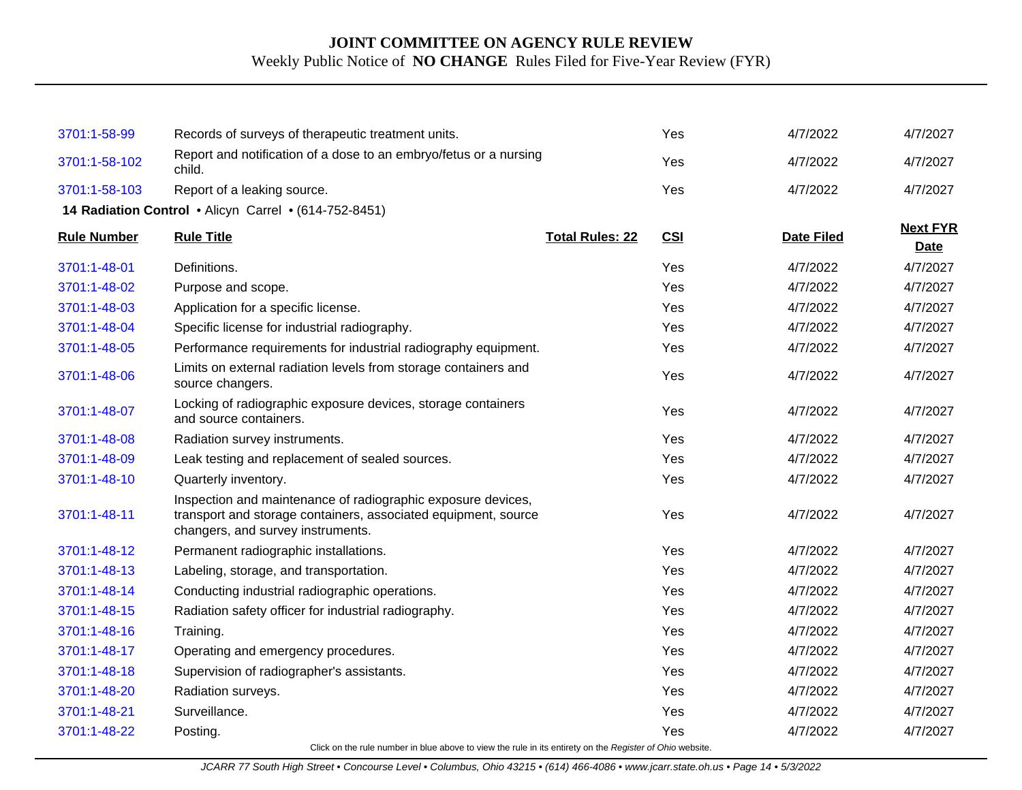| 3701:1-58-99       | Records of surveys of therapeutic treatment units.                                                                                                                  |                        | Yes        | 4/7/2022          | 4/7/2027                |
|--------------------|---------------------------------------------------------------------------------------------------------------------------------------------------------------------|------------------------|------------|-------------------|-------------------------|
| 3701:1-58-102      | Report and notification of a dose to an embryo/fetus or a nursing<br>child.                                                                                         |                        | Yes        | 4/7/2022          | 4/7/2027                |
| 3701:1-58-103      | Report of a leaking source.                                                                                                                                         |                        | Yes        | 4/7/2022          | 4/7/2027                |
|                    | 14 Radiation Control . Alicyn Carrel . (614-752-8451)                                                                                                               |                        |            |                   |                         |
| <b>Rule Number</b> | <b>Rule Title</b>                                                                                                                                                   | <b>Total Rules: 22</b> | <b>CSI</b> | <b>Date Filed</b> | <b>Next FYR</b><br>Date |
| 3701:1-48-01       | Definitions.                                                                                                                                                        |                        | Yes        | 4/7/2022          | 4/7/2027                |
| 3701:1-48-02       | Purpose and scope.                                                                                                                                                  |                        | Yes        | 4/7/2022          | 4/7/2027                |
| 3701:1-48-03       | Application for a specific license.                                                                                                                                 |                        | Yes        | 4/7/2022          | 4/7/2027                |
| 3701:1-48-04       | Specific license for industrial radiography.                                                                                                                        |                        | Yes        | 4/7/2022          | 4/7/2027                |
| 3701:1-48-05       | Performance requirements for industrial radiography equipment.                                                                                                      |                        | Yes        | 4/7/2022          | 4/7/2027                |
| 3701:1-48-06       | Limits on external radiation levels from storage containers and<br>source changers.                                                                                 |                        | Yes        | 4/7/2022          | 4/7/2027                |
| 3701:1-48-07       | Locking of radiographic exposure devices, storage containers<br>and source containers.                                                                              |                        | Yes        | 4/7/2022          | 4/7/2027                |
| 3701:1-48-08       | Radiation survey instruments.                                                                                                                                       |                        | Yes        | 4/7/2022          | 4/7/2027                |
| 3701:1-48-09       | Leak testing and replacement of sealed sources.                                                                                                                     |                        | Yes        | 4/7/2022          | 4/7/2027                |
| 3701:1-48-10       | Quarterly inventory.                                                                                                                                                |                        | Yes        | 4/7/2022          | 4/7/2027                |
| 3701:1-48-11       | Inspection and maintenance of radiographic exposure devices,<br>transport and storage containers, associated equipment, source<br>changers, and survey instruments. |                        | Yes        | 4/7/2022          | 4/7/2027                |
| 3701:1-48-12       | Permanent radiographic installations.                                                                                                                               |                        | Yes        | 4/7/2022          | 4/7/2027                |
| 3701:1-48-13       | Labeling, storage, and transportation.                                                                                                                              |                        | Yes        | 4/7/2022          | 4/7/2027                |
| 3701:1-48-14       | Conducting industrial radiographic operations.                                                                                                                      |                        | Yes        | 4/7/2022          | 4/7/2027                |
| 3701:1-48-15       | Radiation safety officer for industrial radiography.                                                                                                                |                        | Yes        | 4/7/2022          | 4/7/2027                |
| 3701:1-48-16       | Training.                                                                                                                                                           |                        | Yes        | 4/7/2022          | 4/7/2027                |
| 3701:1-48-17       | Operating and emergency procedures.                                                                                                                                 |                        | Yes        | 4/7/2022          | 4/7/2027                |
| 3701:1-48-18       | Supervision of radiographer's assistants.                                                                                                                           |                        | Yes        | 4/7/2022          | 4/7/2027                |
| 3701:1-48-20       | Radiation surveys.                                                                                                                                                  |                        | Yes        | 4/7/2022          | 4/7/2027                |
| 3701:1-48-21       | Surveillance.                                                                                                                                                       |                        | Yes        | 4/7/2022          | 4/7/2027                |
| 3701:1-48-22       | Posting.                                                                                                                                                            |                        | Yes        | 4/7/2022          | 4/7/2027                |
|                    |                                                                                                                                                                     |                        |            |                   |                         |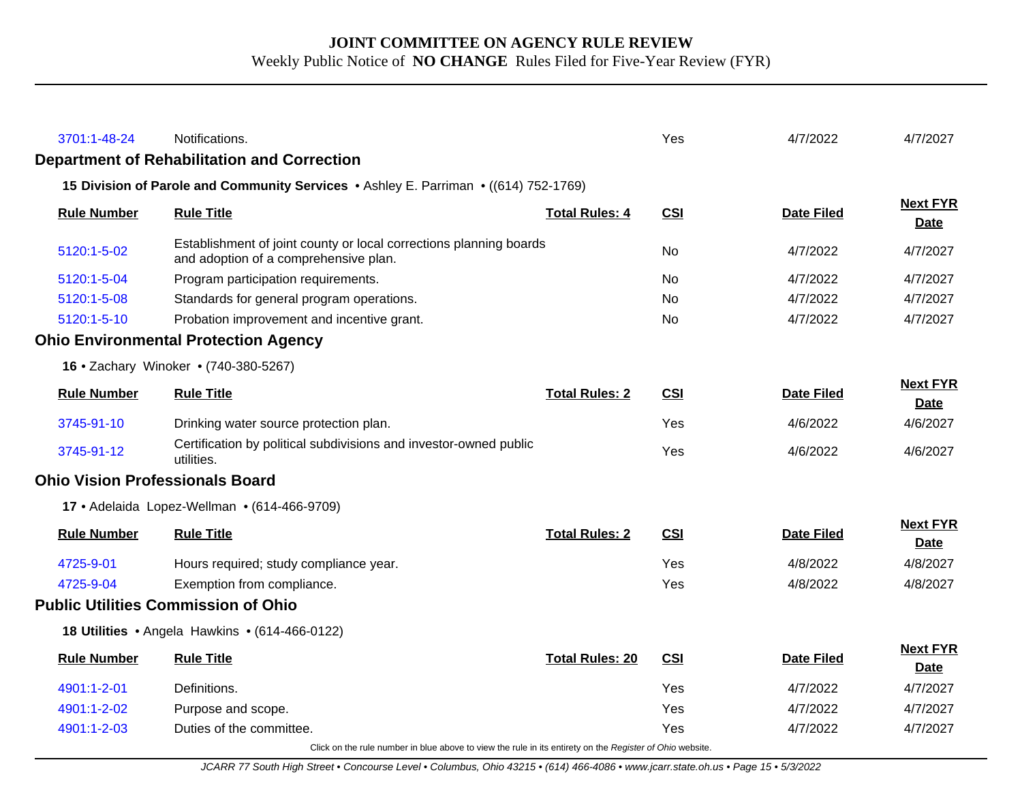| 3701:1-48-24                           | Notifications.                                                                                              |                        | Yes        | 4/7/2022          | 4/7/2027                       |
|----------------------------------------|-------------------------------------------------------------------------------------------------------------|------------------------|------------|-------------------|--------------------------------|
|                                        | <b>Department of Rehabilitation and Correction</b>                                                          |                        |            |                   |                                |
|                                        | 15 Division of Parole and Community Services • Ashley E. Parriman • ((614) 752-1769)                        |                        |            |                   |                                |
| <b>Rule Number</b>                     | <b>Rule Title</b>                                                                                           | <b>Total Rules: 4</b>  | CSI        | <b>Date Filed</b> | <b>Next FYR</b><br><b>Date</b> |
| 5120:1-5-02                            | Establishment of joint county or local corrections planning boards<br>and adoption of a comprehensive plan. |                        | No         | 4/7/2022          | 4/7/2027                       |
| 5120:1-5-04                            | Program participation requirements.                                                                         |                        | <b>No</b>  | 4/7/2022          | 4/7/2027                       |
| 5120:1-5-08                            | Standards for general program operations.                                                                   |                        | <b>No</b>  | 4/7/2022          | 4/7/2027                       |
| 5120:1-5-10                            | Probation improvement and incentive grant.                                                                  |                        | No.        | 4/7/2022          | 4/7/2027                       |
|                                        | <b>Ohio Environmental Protection Agency</b>                                                                 |                        |            |                   |                                |
|                                        | 16 • Zachary Winoker • (740-380-5267)                                                                       |                        |            |                   |                                |
| <b>Rule Number</b>                     | <b>Rule Title</b>                                                                                           | <b>Total Rules: 2</b>  | <b>CSI</b> | <b>Date Filed</b> | <b>Next FYR</b><br>Date        |
| 3745-91-10                             | Drinking water source protection plan.                                                                      |                        | <b>Yes</b> | 4/6/2022          | 4/6/2027                       |
| 3745-91-12                             | Certification by political subdivisions and investor-owned public<br>utilities.                             |                        | Yes        | 4/6/2022          | 4/6/2027                       |
| <b>Ohio Vision Professionals Board</b> |                                                                                                             |                        |            |                   |                                |
|                                        | 17 · Adelaida Lopez-Wellman · (614-466-9709)                                                                |                        |            |                   |                                |
| <b>Rule Number</b>                     | <b>Rule Title</b>                                                                                           | <b>Total Rules: 2</b>  | <b>CSI</b> | <b>Date Filed</b> | <b>Next FYR</b><br><b>Date</b> |
| 4725-9-01                              | Hours required; study compliance year.                                                                      |                        | Yes        | 4/8/2022          | 4/8/2027                       |
| 4725-9-04                              | Exemption from compliance.                                                                                  |                        | Yes        | 4/8/2022          | 4/8/2027                       |
|                                        | <b>Public Utilities Commission of Ohio</b>                                                                  |                        |            |                   |                                |
|                                        | 18 Utilities • Angela Hawkins • (614-466-0122)                                                              |                        |            |                   |                                |
| <b>Rule Number</b>                     | <b>Rule Title</b>                                                                                           | <b>Total Rules: 20</b> | <b>CSI</b> | <b>Date Filed</b> | <b>Next FYR</b><br><b>Date</b> |
| 4901:1-2-01                            | Definitions.                                                                                                |                        | Yes        | 4/7/2022          | 4/7/2027                       |
| 4901:1-2-02                            | Purpose and scope.                                                                                          |                        | Yes        | 4/7/2022          | 4/7/2027                       |
| 4901:1-2-03                            | Duties of the committee.                                                                                    |                        | Yes        | 4/7/2022          | 4/7/2027                       |
|                                        | Click on the rule number in blue above to view the rule in its entirety on the Register of Ohio website.    |                        |            |                   |                                |

JCARR 77 South High Street • Concourse Level • Columbus, Ohio 43215 • (614) 466-4086 • www.jcarr.state.oh.us • Page 15 • 5/3/2022